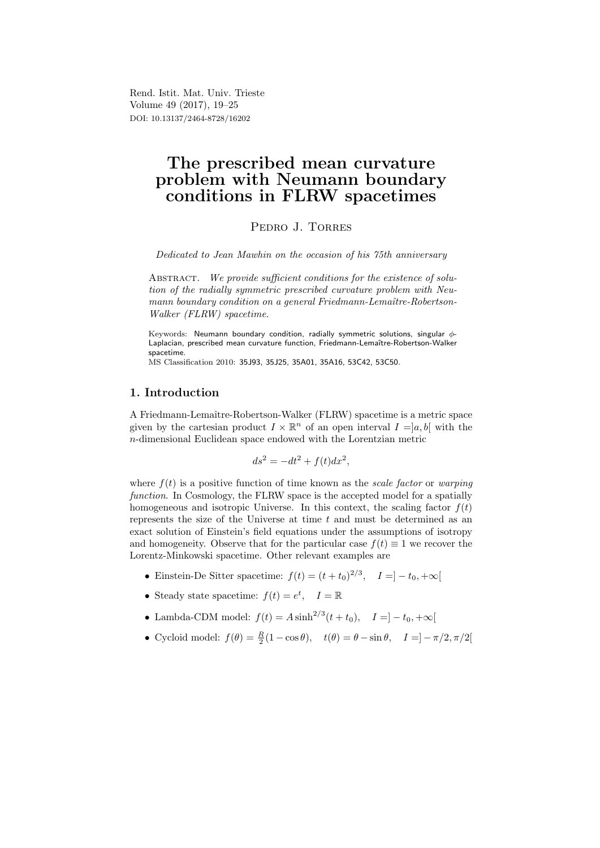Rend. Istit. Mat. Univ. Trieste Volume 49 (2017), 19–25 DOI: 10.13137/2464-8728/16202

# The prescribed mean curvature problem with Neumann boundary conditions in FLRW spacetimes

PEDRO J. TORRES

Dedicated to Jean Mawhin on the occasion of his 75th anniversary

ABSTRACT. We provide sufficient conditions for the existence of solution of the radially symmetric prescribed curvature problem with Neumann boundary condition on a general Friedmann-Lemaître-Robertson-Walker (FLRW) spacetime.

Keywords: Neumann boundary condition, radially symmetric solutions, singular φ-Laplacian, prescribed mean curvature function, Friedmann-Lemaître-Robertson-Walker spacetime.

MS Classification 2010: 35J93, 35J25, 35A01, 35A16, 53C42, 53C50.

## 1. Introduction

A Friedmann-Lemaˆıtre-Robertson-Walker (FLRW) spacetime is a metric space given by the cartesian product  $I \times \mathbb{R}^n$  of an open interval  $I = ]a, b[$  with the n-dimensional Euclidean space endowed with the Lorentzian metric

$$
ds^2 = -dt^2 + f(t)dx^2,
$$

where  $f(t)$  is a positive function of time known as the scale factor or warping function. In Cosmology, the FLRW space is the accepted model for a spatially homogeneous and isotropic Universe. In this context, the scaling factor  $f(t)$ represents the size of the Universe at time  $t$  and must be determined as an exact solution of Einstein's field equations under the assumptions of isotropy and homogeneity. Observe that for the particular case  $f(t) \equiv 1$  we recover the Lorentz-Minkowski spacetime. Other relevant examples are

- Einstein-De Sitter spacetime:  $f(t) = (t + t_0)^{2/3}, \quad I = ] t_0, +\infty[$
- Steady state spacetime:  $f(t) = e^t$ ,  $I = \mathbb{R}$
- Lambda-CDM model:  $f(t) = A \sinh^{2/3}(t + t_0), \quad I = ] t_0, +\infty[$
- Cycloid model:  $f(\theta) = \frac{R}{2}(1 \cos \theta), \quad t(\theta) = \theta \sin \theta, \quad I = -\pi/2, \pi/2$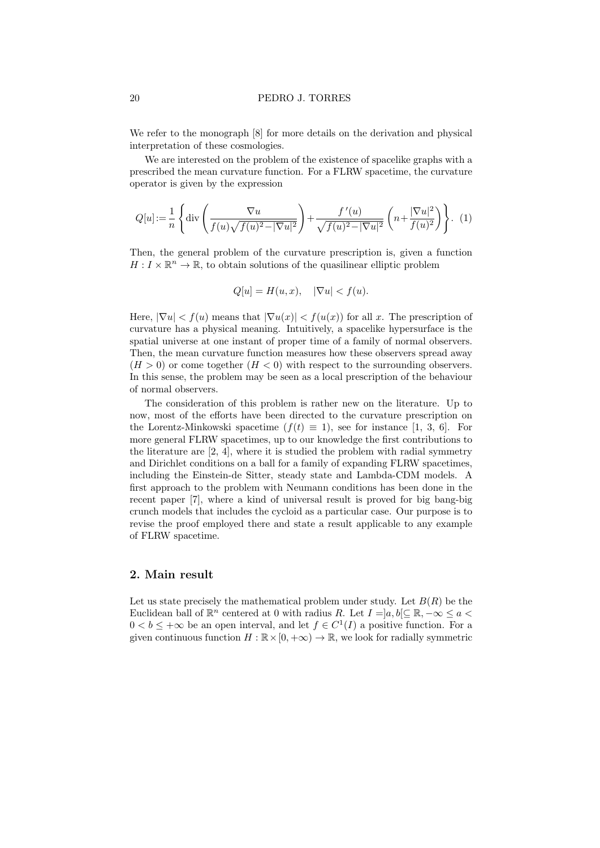We refer to the monograph [8] for more details on the derivation and physical interpretation of these cosmologies.

We are interested on the problem of the existence of spacelike graphs with a prescribed the mean curvature function. For a FLRW spacetime, the curvature operator is given by the expression

$$
Q[u] := \frac{1}{n} \left\{ \text{div} \left( \frac{\nabla u}{f(u)\sqrt{f(u)^2 - |\nabla u|^2}} \right) + \frac{f'(u)}{\sqrt{f(u)^2 - |\nabla u|^2}} \left( n + \frac{|\nabla u|^2}{f(u)^2} \right) \right\}.
$$
 (1)

Then, the general problem of the curvature prescription is, given a function  $H: I \times \mathbb{R}^n \to \mathbb{R}$ , to obtain solutions of the quasilinear elliptic problem

$$
Q[u] = H(u, x), \quad |\nabla u| < f(u).
$$

Here,  $|\nabla u| < f(u)$  means that  $|\nabla u(x)| < f(u(x))$  for all x. The prescription of curvature has a physical meaning. Intuitively, a spacelike hypersurface is the spatial universe at one instant of proper time of a family of normal observers. Then, the mean curvature function measures how these observers spread away  $(H > 0)$  or come together  $(H < 0)$  with respect to the surrounding observers. In this sense, the problem may be seen as a local prescription of the behaviour of normal observers.

The consideration of this problem is rather new on the literature. Up to now, most of the efforts have been directed to the curvature prescription on the Lorentz-Minkowski spacetime  $(f(t) \equiv 1)$ , see for instance [1, 3, 6]. For more general FLRW spacetimes, up to our knowledge the first contributions to the literature are  $[2, 4]$ , where it is studied the problem with radial symmetry and Dirichlet conditions on a ball for a family of expanding FLRW spacetimes, including the Einstein-de Sitter, steady state and Lambda-CDM models. A first approach to the problem with Neumann conditions has been done in the recent paper [7], where a kind of universal result is proved for big bang-big crunch models that includes the cycloid as a particular case. Our purpose is to revise the proof employed there and state a result applicable to any example of FLRW spacetime.

## 2. Main result

Let us state precisely the mathematical problem under study. Let  $B(R)$  be the Euclidean ball of  $\mathbb{R}^n$  centered at 0 with radius R. Let  $I = ]a, b] \subseteq \mathbb{R}, -\infty \le a <$  $0 < b \leq +\infty$  be an open interval, and let  $f \in C^1(I)$  a positive function. For a given continuous function  $H : \mathbb{R} \times [0, +\infty) \to \mathbb{R}$ , we look for radially symmetric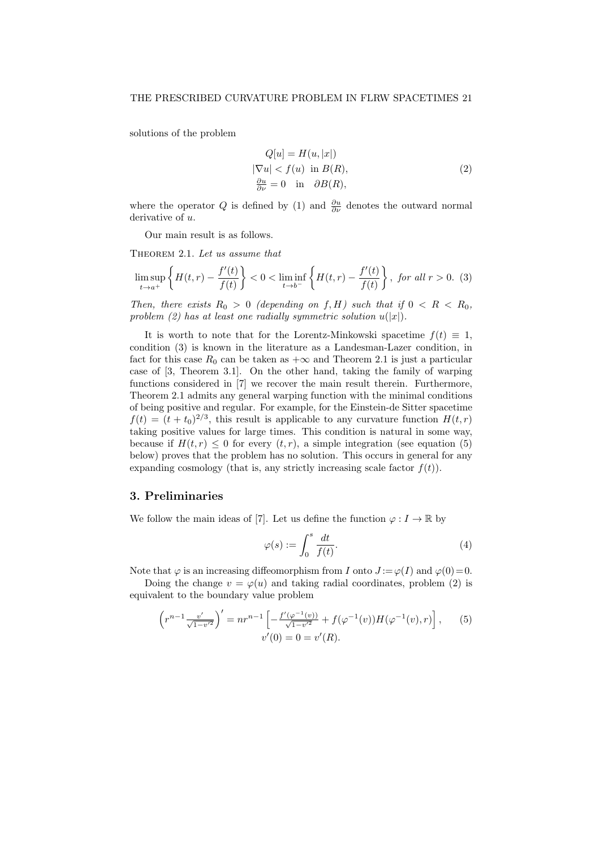solutions of the problem

$$
Q[u] = H(u, |x|)
$$
  
\n
$$
|\nabla u| < f(u) \text{ in } B(R),
$$
  
\n
$$
\frac{\partial u}{\partial \nu} = 0 \text{ in } \partial B(R),
$$
\n(2)

where the operator Q is defined by (1) and  $\frac{\partial u}{\partial \nu}$  denotes the outward normal derivative of u.

Our main result is as follows.

THEOREM 2.1. Let us assume that

$$
\limsup_{t \to a^+} \left\{ H(t, r) - \frac{f'(t)}{f(t)} \right\} < 0 < \liminf_{t \to b^-} \left\{ H(t, r) - \frac{f'(t)}{f(t)} \right\}, \text{ for all } r > 0. \tag{3}
$$

Then, there exists  $R_0 > 0$  (depending on f, H) such that if  $0 < R < R_0$ , problem (2) has at least one radially symmetric solution  $u(|x|)$ .

It is worth to note that for the Lorentz-Minkowski spacetime  $f(t) \equiv 1$ , condition (3) is known in the literature as a Landesman-Lazer condition, in fact for this case  $R_0$  can be taken as  $+\infty$  and Theorem 2.1 is just a particular case of [3, Theorem 3.1]. On the other hand, taking the family of warping functions considered in [7] we recover the main result therein. Furthermore, Theorem 2.1 admits any general warping function with the minimal conditions of being positive and regular. For example, for the Einstein-de Sitter spacetime  $f(t) = (t + t_0)^{2/3}$ , this result is applicable to any curvature function  $H(t,r)$ taking positive values for large times. This condition is natural in some way, because if  $H(t,r) \leq 0$  for every  $(t,r)$ , a simple integration (see equation (5) below) proves that the problem has no solution. This occurs in general for any expanding cosmology (that is, any strictly increasing scale factor  $f(t)$ ).

#### 3. Preliminaries

We follow the main ideas of [7]. Let us define the function  $\varphi: I \to \mathbb{R}$  by

$$
\varphi(s) := \int_0^s \frac{dt}{f(t)}.\tag{4}
$$

Note that  $\varphi$  is an increasing diffeomorphism from I onto  $J := \varphi(I)$  and  $\varphi(0) = 0$ .

Doing the change  $v = \varphi(u)$  and taking radial coordinates, problem (2) is equivalent to the boundary value problem

$$
\left(r^{n-1}\frac{v'}{\sqrt{1-v'^2}}\right)' = nr^{n-1}\left[-\frac{f'(\varphi^{-1}(v))}{\sqrt{1-v'^2}} + f(\varphi^{-1}(v))H(\varphi^{-1}(v),r)\right],\qquad(5)
$$

$$
v'(0) = 0 = v'(R).
$$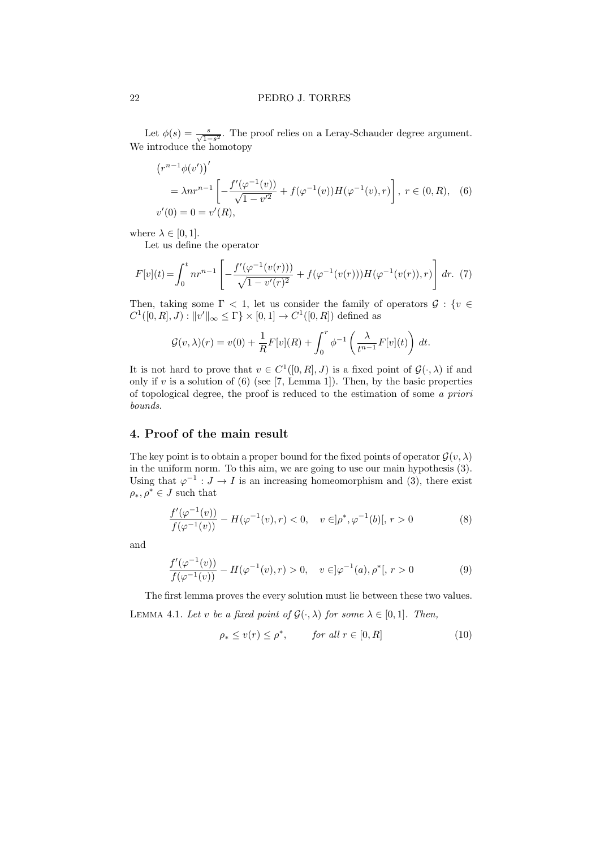Let  $\phi(s) = \frac{s}{\sqrt{1-s^2}}$ . The proof relies on a Leray-Schauder degree argument. We introduce the homotopy

$$
(r^{n-1}\phi(v'))'
$$
  
=  $\lambda nr^{n-1}\left[-\frac{f'(\varphi^{-1}(v))}{\sqrt{1-v'^2}} + f(\varphi^{-1}(v))H(\varphi^{-1}(v),r)\right], r \in (0, R), (6)$   
 $v'(0) = 0 = v'(R),$ 

where  $\lambda \in [0, 1]$ .

Let us define the operator

$$
F[v](t) = \int_0^t n r^{n-1} \left[ -\frac{f'(\varphi^{-1}(v(r)))}{\sqrt{1 - v'(r)^2}} + f(\varphi^{-1}(v(r))) H(\varphi^{-1}(v(r)), r) \right] dr. (7)
$$

Then, taking some  $\Gamma$  < 1, let us consider the family of operators  $\mathcal{G}$  : {v  $\in$  $C^1([0,R],J): ||v'||_{\infty} \leq \Gamma$   $\times$   $[0,1] \to C^1([0,R])$  defined as

$$
\mathcal{G}(v,\lambda)(r) = v(0) + \frac{1}{R}F[v](R) + \int_0^r \phi^{-1}\left(\frac{\lambda}{t^{n-1}}F[v](t)\right) dt.
$$

It is not hard to prove that  $v \in C^1([0,R], J)$  is a fixed point of  $\mathcal{G}(\cdot, \lambda)$  if and only if v is a solution of  $(6)$  (see [7, Lemma 1]). Then, by the basic properties of topological degree, the proof is reduced to the estimation of some a priori bounds.

## 4. Proof of the main result

The key point is to obtain a proper bound for the fixed points of operator  $\mathcal{G}(v, \lambda)$ in the uniform norm. To this aim, we are going to use our main hypothesis (3). Using that  $\varphi^{-1}: J \to I$  is an increasing homeomorphism and (3), there exist  $\rho_*, \rho^* \in J$  such that

$$
\frac{f'(\varphi^{-1}(v))}{f(\varphi^{-1}(v))} - H(\varphi^{-1}(v), r) < 0, \quad v \in ]\rho^*, \varphi^{-1}(b)], \ r > 0 \tag{8}
$$

and

$$
\frac{f'(\varphi^{-1}(v))}{f(\varphi^{-1}(v))} - H(\varphi^{-1}(v), r) > 0, \quad v \in ]\varphi^{-1}(a), \rho^*[, r > 0
$$
\n(9)

The first lemma proves the every solution must lie between these two values. LEMMA 4.1. Let v be a fixed point of  $\mathcal{G}(\cdot, \lambda)$  for some  $\lambda \in [0, 1]$ . Then,

$$
\rho_* \le v(r) \le \rho^*, \qquad \text{for all } r \in [0, R] \tag{10}
$$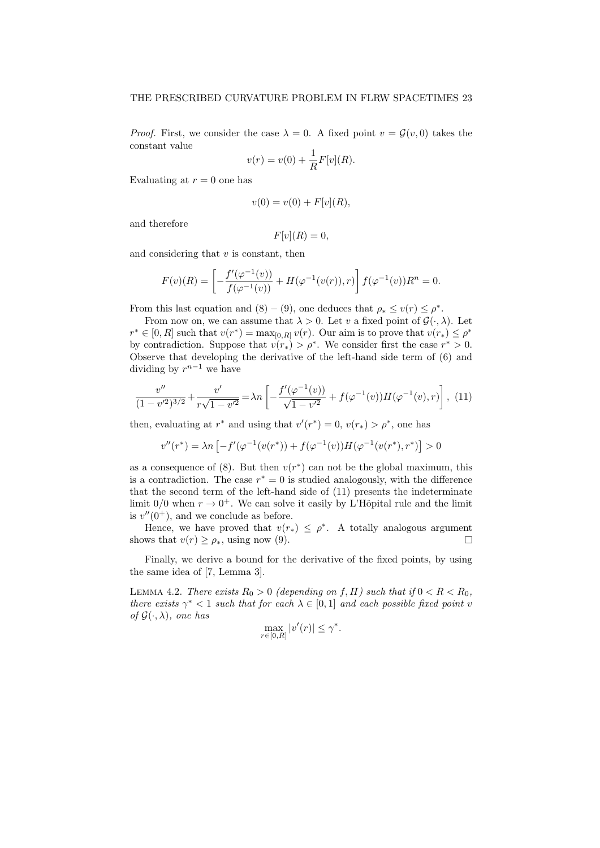*Proof.* First, we consider the case  $\lambda = 0$ . A fixed point  $v = \mathcal{G}(v, 0)$  takes the constant value

$$
v(r) = v(0) + \frac{1}{R}F[v](R).
$$

Evaluating at  $r = 0$  one has

$$
v(0) = v(0) + F[v](R),
$$

and therefore

$$
F[v](R) = 0,
$$

and considering that  $v$  is constant, then

$$
F(v)(R) = \left[ -\frac{f'(\varphi^{-1}(v))}{f(\varphi^{-1}(v))} + H(\varphi^{-1}(v(r)), r) \right] f(\varphi^{-1}(v)) R^n = 0.
$$

From this last equation and  $(8) - (9)$ , one deduces that  $\rho_* \le v(r) \le \rho^*$ .

From now on, we can assume that  $\lambda > 0$ . Let v a fixed point of  $\mathcal{G}(\cdot, \lambda)$ . Let  $r^* \in [0, R]$  such that  $v(r^*) = \max_{[0, R]} v(r)$ . Our aim is to prove that  $v(r_*) \leq \rho^*$ by contradiction. Suppose that  $v(r_*) > \rho^*$ . We consider first the case  $r^* > 0$ . Observe that developing the derivative of the left-hand side term of (6) and dividing by  $r^{n-1}$  we have

$$
\frac{v''}{(1-v'^2)^{3/2}} + \frac{v'}{r\sqrt{1-v'^2}} = \lambda n \left[ -\frac{f'(\varphi^{-1}(v))}{\sqrt{1-v'^2}} + f(\varphi^{-1}(v))H(\varphi^{-1}(v),r) \right], \tag{11}
$$

then, evaluating at  $r^*$  and using that  $v'(r^*) = 0$ ,  $v(r_*) > \rho^*$ , one has

$$
v''(r^*) = \lambda n \left[ -f'(\varphi^{-1}(v(r^*))+f(\varphi^{-1}(v))H(\varphi^{-1}(v(r^*),r^*) \right] > 0
$$

as a consequence of  $(8)$ . But then  $v(r^*)$  can not be the global maximum, this is a contradiction. The case  $r^* = 0$  is studied analogously, with the difference that the second term of the left-hand side of (11) presents the indeterminate limit  $0/0$  when  $r \to 0^+$ . We can solve it easily by L'Hôpital rule and the limit is  $v''(0^+)$ , and we conclude as before.

Hence, we have proved that  $v(r_*) \leq \rho^*$ . A totally analogous argument shows that  $v(r) \geq \rho_*$ , using now (9).  $\Box$ 

Finally, we derive a bound for the derivative of the fixed points, by using the same idea of [7, Lemma 3].

LEMMA 4.2. There exists  $R_0 > 0$  (depending on f, H) such that if  $0 < R < R_0$ , there exists  $\gamma^*$  < 1 such that for each  $\lambda \in [0,1]$  and each possible fixed point v of  $\mathcal{G}(\cdot,\lambda)$ , one has

$$
\max_{r \in [0,R]} |v'(r)| \le \gamma^*.
$$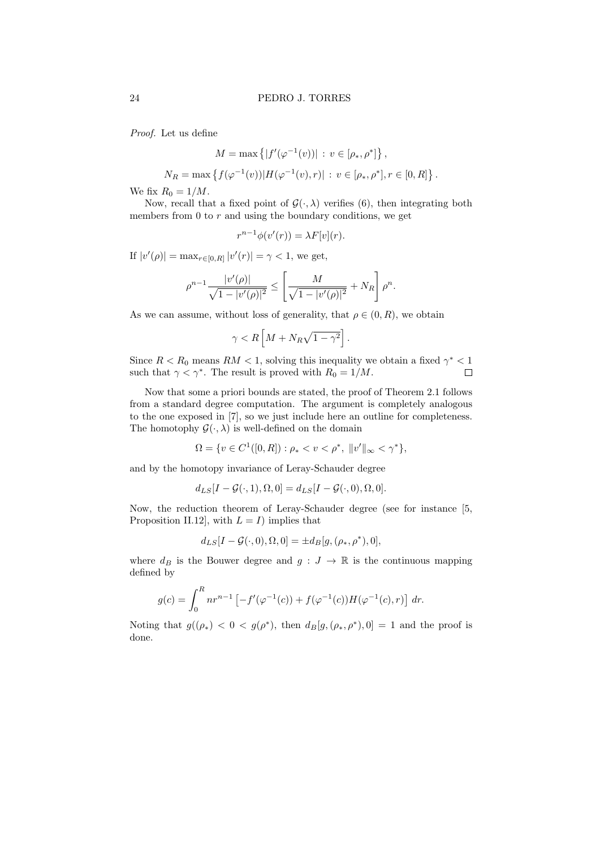Proof. Let us define

$$
M = \max \{|f'(\varphi^{-1}(v))| : v \in [\rho_*, \rho^*]\},\
$$

$$
N_R = \max \left\{ f(\varphi^{-1}(v)) | H(\varphi^{-1}(v), r) | \, : \, v \in [\rho_*, \rho^*], r \in [0, R] \right\}.
$$

We fix  $R_0 = 1/M$ .

Now, recall that a fixed point of  $\mathcal{G}(\cdot,\lambda)$  verifies (6), then integrating both members from  $0$  to  $r$  and using the boundary conditions, we get

$$
r^{n-1}\phi(v'(r)) = \lambda F[v](r).
$$

If  $|v'(\rho)| = \max_{r \in [0, R]} |v'(r)| = \gamma < 1$ , we get,

$$
\rho^{n-1} \frac{|v'(\rho)|}{\sqrt{1-|v'(\rho)|^2}} \le \left[ \frac{M}{\sqrt{1-|v'(\rho)|^2}} + N_R \right] \rho^n.
$$

As we can assume, without loss of generality, that  $\rho \in (0, R)$ , we obtain

$$
\gamma < R\left[M + N_R\sqrt{1-\gamma^2}\right].
$$

Since  $R < R_0$  means  $RM < 1$ , solving this inequality we obtain a fixed  $\gamma^* < 1$ such that  $\gamma < \gamma^*$ . The result is proved with  $R_0 = 1/M$ .  $\Box$ 

Now that some a priori bounds are stated, the proof of Theorem 2.1 follows from a standard degree computation. The argument is completely analogous to the one exposed in [7], so we just include here an outline for completeness. The homotophy  $\mathcal{G}(\cdot, \lambda)$  is well-defined on the domain

$$
\Omega = \{ v \in C^1([0, R]) : \rho_* < v < \rho^*, \ \|v'\|_{\infty} < \gamma^* \},
$$

and by the homotopy invariance of Leray-Schauder degree

$$
d_{LS}[I - \mathcal{G}(\cdot, 1), \Omega, 0] = d_{LS}[I - \mathcal{G}(\cdot, 0), \Omega, 0].
$$

Now, the reduction theorem of Leray-Schauder degree (see for instance [5, Proposition II.12], with  $L = I$ ) implies that

$$
d_{LS}[I - \mathcal{G}(\cdot, 0), \Omega, 0] = \pm d_B[g, (\rho_*, \rho^*), 0],
$$

where  $d_B$  is the Bouwer degree and  $g: J \to \mathbb{R}$  is the continuous mapping defined by

$$
g(c) = \int_0^R n r^{n-1} \left[ -f'(\varphi^{-1}(c)) + f(\varphi^{-1}(c))H(\varphi^{-1}(c), r) \right] dr.
$$

Noting that  $g((\rho_*) < 0 < g(\rho^*),$  then  $d_B[g, (\rho_*, \rho^*), 0] = 1$  and the proof is done.